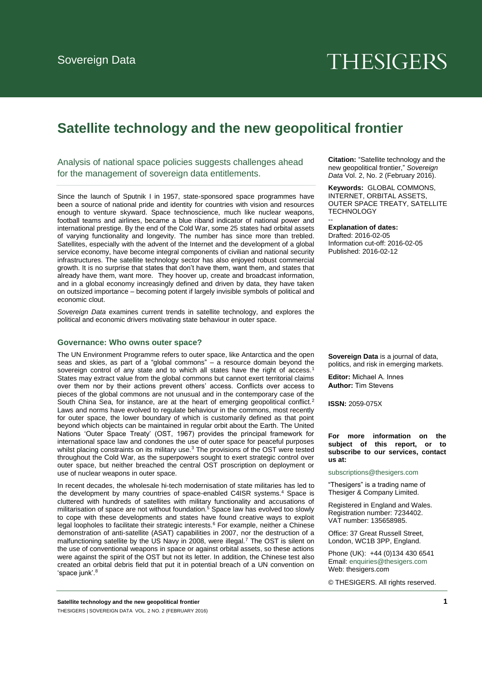# **THESIGERS**

# **Satellite technology and the new geopolitical frontier**

Analysis of national space policies suggests challenges ahead for the management of sovereign data entitlements.

Since the launch of Sputnik I in 1957, state-sponsored space programmes have been a source of national pride and identity for countries with vision and resources enough to venture skyward. Space technoscience, much like nuclear weapons, football teams and airlines, became a blue riband indicator of national power and international prestige. By the end of the Cold War, some 25 states had orbital assets of varying functionality and longevity. The number has since more than trebled. Satellites, especially with the advent of the Internet and the development of a global service economy, have become integral components of civilian and national security infrastructures. The satellite technology sector has also enjoyed robust commercial growth. It is no surprise that states that don't have them, want them, and states that already have them, want more. They hoover up, create and broadcast information, and in a global economy increasingly defined and driven by data, they have taken on outsized importance – becoming potent if largely invisible symbols of political and economic clout.

*Sovereign Data* examines current trends in satellite technology, and explores the political and economic drivers motivating state behaviour in outer space.

## **Governance: Who owns outer space?**

The UN Environment Programme refers to outer space, like Antarctica and the open seas and skies, as part of a "global commons" – a resource domain beyond the sovereign control of any state and to which all states have the right of access.<sup>1</sup> States may extract value from the global commons but cannot exert territorial claims over them nor by their actions prevent others' access. Conflicts over access to pieces of the global commons are not unusual and in the contemporary case of the South China Sea, for instance, are at the heart of emerging geopolitical conflict.<sup>2</sup> Laws and norms have evolved to regulate behaviour in the commons, most recently for outer space, the lower boundary of which is customarily defined as that point beyond which objects can be maintained in regular orbit about the Earth. The United Nations 'Outer Space Treaty' (OST, 1967) provides the principal framework for international space law and condones the use of outer space for peaceful purposes whilst placing constraints on its military use. $3$  The provisions of the OST were tested throughout the Cold War, as the superpowers sought to exert strategic control over outer space, but neither breached the central OST proscription on deployment or use of nuclear weapons in outer space.

In recent decades, the wholesale hi-tech modernisation of state militaries has led to the development by many countries of space-enabled C4ISR systems.<sup>4</sup> Space is cluttered with hundreds of satellites with military functionality and accusations of militarisation of space are not without foundation.<sup>5</sup> Space law has evolved too slowly to cope with these developments and states have found creative ways to exploit legal loopholes to facilitate their strategic interests.<sup>6</sup> For example, neither a Chinese demonstration of anti-satellite (ASAT) capabilities in 2007, nor the destruction of a malfunctioning satellite by the US Navy in 2008, were illegal.<sup>7</sup> The OST is silent on the use of conventional weapons in space or against orbital assets, so these actions were against the spirit of the OST but not its letter. In addition, the Chinese test also created an orbital debris field that put it in potential breach of a UN convention on 'space junk'.<sup>8</sup>

**Citation:** "Satellite technology and the new geopolitical frontier," *Sovereign Data* Vol. 2, No. 2 (February 2016).

**Keywords:** GLOBAL COMMONS, INTERNET, ORBITAL ASSETS, OUTER SPACE TREATY, SATELLITE **TECHNOLOGY** --

**Explanation of dates:**  Drafted: 2016-02-05 Information cut-off: 2016-02-05 Published: 2016-02-12

**Sovereign Data** is a journal of data, politics, and risk in emerging markets.

**Editor:** Michael A. Innes **Author:** Tim Stevens

**ISSN:** 2059-075X

#### **For more information on the subject of this report, or to [subscribe to our services,](mailto:subscriptions@thesigers.com) contact us at:**

subscriptions@thesigers.com

"Thesigers" is a trading name of Thesiger & Company Limited.

Registered in England and Wales. Registration number: 7234402. VAT number: 135658985.

Office: 37 Great Russell Street, Lond[on, WC1B 3PP, England.](mailto:enquiries@thesigers.com) 

Phone (UK): +44 (0)134 430 6541 Email: enquiries@thesigers.com Web: thesigers.com

© THESIGERS. All rights reserved.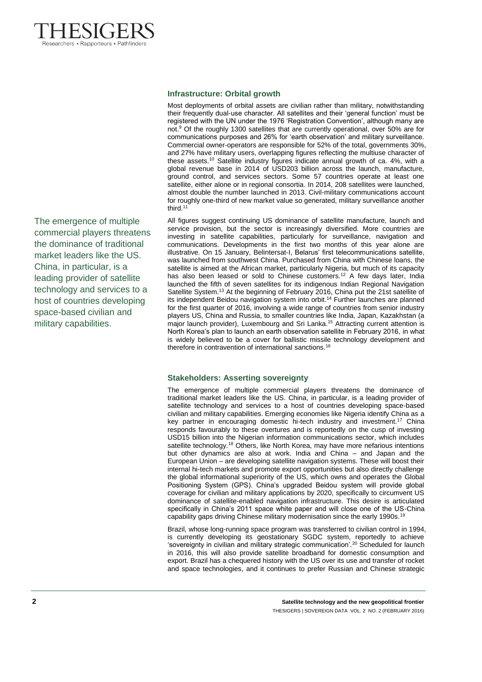

The emergence of multiple commercial players threatens the dominance of traditional market leaders like the US. China, in particular, is a leading provider of satellite technology and services to a host of countries developing space-based civilian and military capabilities.

# **Infrastructure: Orbital growth**

Most deployments of orbital assets are civilian rather than military, notwithstanding their frequently dual-use character. All satellites and their 'general function' must be registered with the UN under the 1976 'Registration Convention', although many are not.<sup>9</sup> Of the roughly 1300 satellites that are currently operational, over 50% are for communications purposes and 26% for 'earth observation' and military surveillance. Commercial owner-operators are responsible for 52% of the total, governments 30%, and 27% have military users, overlapping figures reflecting the multiuse character of these assets.<sup>10</sup> Satellite industry figures indicate annual growth of ca. 4%, with a global revenue base in 2014 of USD203 billion across the launch, manufacture, ground control, and services sectors. Some 57 countries operate at least one satellite, either alone or in regional consortia. In 2014, 208 satellites were launched, almost double the number launched in 2013. Civil-military communications account for roughly one-third of new market value so generated, military surveillance another third.<sup>11</sup>

All figures suggest continuing US dominance of satellite manufacture, launch and service provision, but the sector is increasingly diversified. More countries are investing in satellite capabilities, particularly for surveillance, navigation and communications. Developments in the first two months of this year alone are illustrative. On 15 January, Belintersat-I, Belarus' first telecommunications satellite, was launched from southwest China. Purchased from China with Chinese loans, the satellite is aimed at the African market, particularly Nigeria, but much of its capacity has also been leased or sold to Chinese customers.<sup>12</sup> A few days later, India launched the fifth of seven satellites for its indigenous Indian Regional Navigation Satellite System.<sup>13</sup> At the beginning of February 2016, China put the 21st satellite of its independent Beidou navigation system into orbit.<sup>14</sup> Further launches are planned for the first quarter of 2016, involving a wide range of countries from senior industry players US, China and Russia, to smaller countries like India, Japan, Kazakhstan (a major launch provider), Luxembourg and Sri Lanka.<sup>15</sup> Attracting current attention is North Korea's plan to launch an earth observation satellite in February 2016, in what is widely believed to be a cover for ballistic missile technology development and therefore in contravention of international sanctions. 16

# **Stakeholders: Asserting sovereignty**

The emergence of multiple commercial players threatens the dominance of traditional market leaders like the US. China, in particular, is a leading provider of satellite technology and services to a host of countries developing space-based civilian and military capabilities. Emerging economies like Nigeria identify China as a key partner in encouraging domestic hi-tech industry and investment.<sup>17</sup> China responds favourably to these overtures and is reportedly on the cusp of investing USD15 billion into the Nigerian information communications sector, which includes satellite technology.<sup>18</sup> Others, like North Korea, may have more nefarious intentions but other dynamics are also at work. India and China – and Japan and the European Union – are developing satellite navigation systems. These will boost their internal hi-tech markets and promote export opportunities but also directly challenge the global informational superiority of the US, which owns and operates the Global Positioning System (GPS). China's upgraded Beidou system will provide global coverage for civilian and military applications by 2020, specifically to circumvent US dominance of satellite-enabled navigation infrastructure. This desire is articulated specifically in China's 2011 space white paper and will close one of the US-China capability gaps driving Chinese military modernisation since the early 1990s.<sup>19</sup>

Brazil, whose long-running space program was transferred to civilian control in 1994, is currently developing its geostationary SGDC system, reportedly to achieve 'sovereignty in civilian and military strategic communication'.<sup>20</sup> Scheduled for launch in 2016, this will also provide satellite broadband for domestic consumption and export. Brazil has a chequered history with the US over its use and transfer of rocket and space technologies, and it continues to prefer Russian and Chinese strategic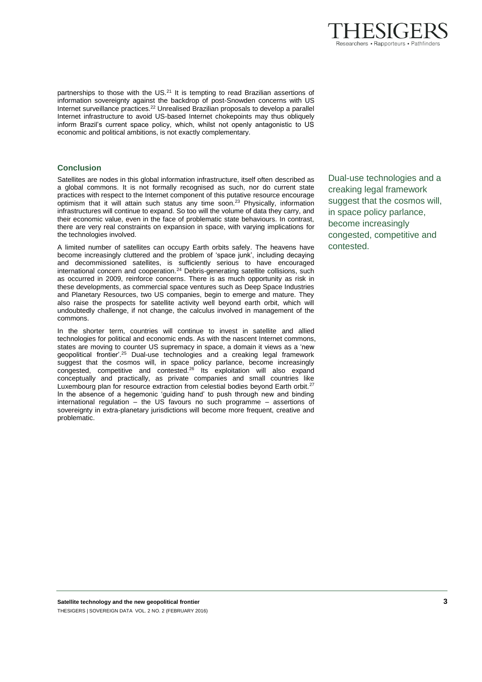

# **Conclusion**

Satellites are nodes in this global information infrastructure, itself often described as a global commons. It is not formally recognised as such, nor do current state practices with respect to the Internet component of this putative resource encourage optimism that it will attain such status any time soon. <sup>23</sup> Physically, information infrastructures will continue to expand. So too will the volume of data they carry, and their economic value, even in the face of problematic state behaviours. In contrast, there are very real constraints on expansion in space, with varying implications for the technologies involved.

A limited number of satellites can occupy Earth orbits safely. The heavens have become increasingly cluttered and the problem of 'space junk', including decaying and decommissioned satellites, is sufficiently serious to have encouraged international concern and cooperation.<sup>24</sup> Debris-generating satellite collisions, such as occurred in 2009, reinforce concerns. There is as much opportunity as risk in these developments, as commercial space ventures such as Deep Space Industries and Planetary Resources, two US companies, begin to emerge and mature. They also raise the prospects for satellite activity well beyond earth orbit, which will undoubtedly challenge, if not change, the calculus involved in management of the commons.

In the shorter term, countries will continue to invest in satellite and allied technologies for political and economic ends. As with the nascent Internet commons, states are moving to counter US supremacy in space, a domain it views as a 'new geopolitical frontier'.<sup>25</sup> Dual-use technologies and a creaking legal framework suggest that the cosmos will, in space policy parlance, become increasingly congested, competitive and contested.<sup>26</sup> Its exploitation will also expand conceptually and practically, as private companies and small countries like Luxembourg plan for resource extraction from celestial bodies beyond Earth orbit.<sup>27</sup> In the absence of a hegemonic 'guiding hand' to push through new and binding international regulation – the US favours no such programme – assertions of sovereignty in extra-planetary jurisdictions will become more frequent, creative and problematic.

Dual-use technologies and a creaking legal framework suggest that the cosmos will, in space policy parlance, become increasingly congested, competitive and contested.

Researchers • Rapporteurs • Pathfinders